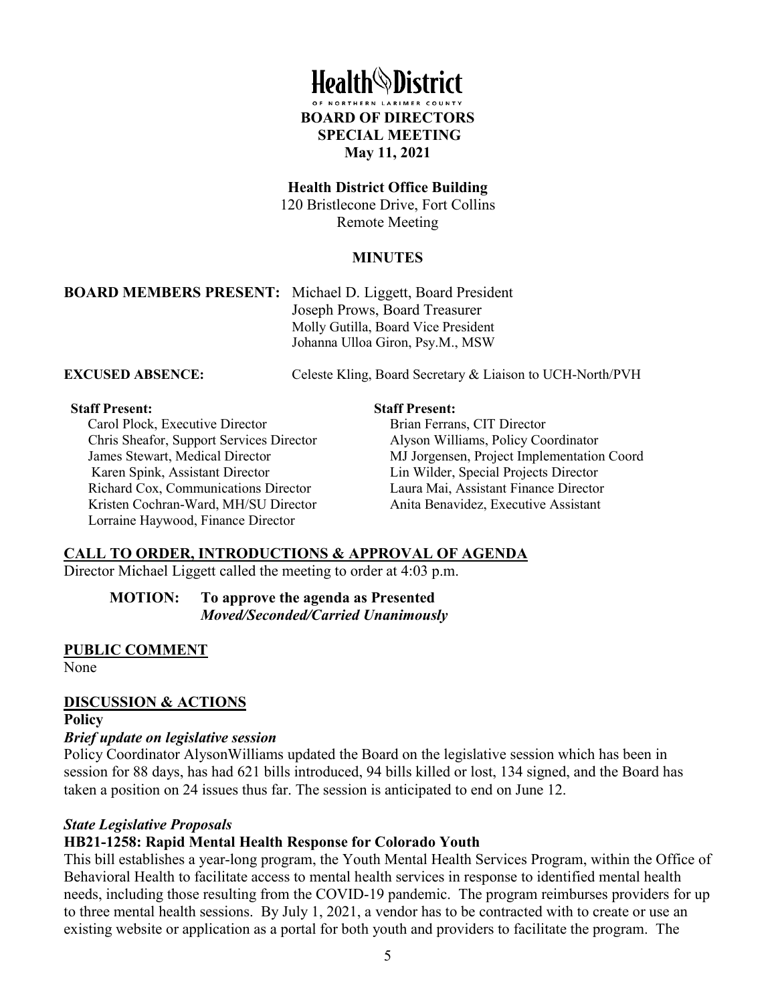

#### **Health District Office Building**

120 Bristlecone Drive, Fort Collins Remote Meeting

### **MINUTES**

**BOARD MEMBERS PRESENT:** Michael D. Liggett, Board President Joseph Prows, Board Treasurer Molly Gutilla, Board Vice President Johanna Ulloa Giron, Psy.M., MSW

**EXCUSED ABSENCE:** Celeste Kling, Board Secretary & Liaison to UCH-North/PVH

#### **Staff Present:**

Carol Plock, Executive Director Chris Sheafor, Support Services Director James Stewart, Medical Director Karen Spink, Assistant Director Richard Cox, Communications Director Kristen Cochran-Ward, MH/SU Director Lorraine Haywood, Finance Director

#### **Staff Present:**

Brian Ferrans, CIT Director Alyson Williams, Policy Coordinator MJ Jorgensen, Project Implementation Coord Lin Wilder, Special Projects Director Laura Mai, Assistant Finance Director Anita Benavidez, Executive Assistant

# **CALL TO ORDER, INTRODUCTIONS & APPROVAL OF AGENDA**

Director Michael Liggett called the meeting to order at 4:03 p.m.

**MOTION: To approve the agenda as Presented**  *Moved/Seconded/Carried Unanimously* 

### **PUBLIC COMMENT**

None

# **DISCUSSION & ACTIONS**

## **Policy**

### *Brief update on legislative session*

Policy Coordinator AlysonWilliams updated the Board on the legislative session which has been in session for 88 days, has had 621 bills introduced, 94 bills killed or lost, 134 signed, and the Board has taken a position on 24 issues thus far. The session is anticipated to end on June 12.

### *State Legislative Proposals*

# **HB21-1258: Rapid Mental Health Response for Colorado Youth**

This bill establishes a year-long program, the Youth Mental Health Services Program, within the Office of Behavioral Health to facilitate access to mental health services in response to identified mental health needs, including those resulting from the COVID-19 pandemic. The program reimburses providers for up to three mental health sessions. By July 1, 2021, a vendor has to be contracted with to create or use an existing website or application as a portal for both youth and providers to facilitate the program. The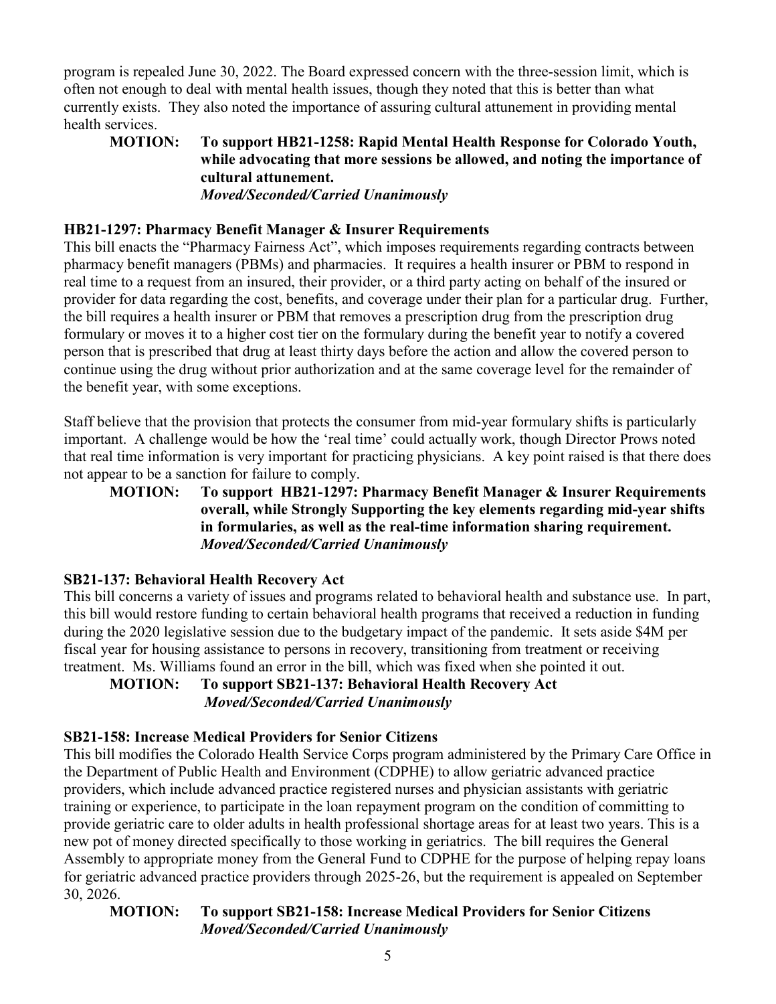program is repealed June 30, 2022. The Board expressed concern with the three-session limit, which is often not enough to deal with mental health issues, though they noted that this is better than what currently exists. They also noted the importance of assuring cultural attunement in providing mental health services.

# **MOTION: To support HB21-1258: Rapid Mental Health Response for Colorado Youth, while advocating that more sessions be allowed, and noting the importance of cultural attunement.**  *Moved/Seconded/Carried Unanimously*

# **HB21-1297: Pharmacy Benefit Manager & Insurer Requirements**

This bill enacts the "Pharmacy Fairness Act", which imposes requirements regarding contracts between pharmacy benefit managers (PBMs) and pharmacies. It requires a health insurer or PBM to respond in real time to a request from an insured, their provider, or a third party acting on behalf of the insured or provider for data regarding the cost, benefits, and coverage under their plan for a particular drug. Further, the bill requires a health insurer or PBM that removes a prescription drug from the prescription drug formulary or moves it to a higher cost tier on the formulary during the benefit year to notify a covered person that is prescribed that drug at least thirty days before the action and allow the covered person to continue using the drug without prior authorization and at the same coverage level for the remainder of the benefit year, with some exceptions.

Staff believe that the provision that protects the consumer from mid-year formulary shifts is particularly important. A challenge would be how the 'real time' could actually work, though Director Prows noted that real time information is very important for practicing physicians. A key point raised is that there does not appear to be a sanction for failure to comply.

# **MOTION: To support HB21-1297: Pharmacy Benefit Manager & Insurer Requirements overall, while Strongly Supporting the key elements regarding mid-year shifts in formularies, as well as the real-time information sharing requirement.** *Moved/Seconded/Carried Unanimously*

# **SB21-137: Behavioral Health Recovery Act**

This bill concerns a variety of issues and programs related to behavioral health and substance use. In part, this bill would restore funding to certain behavioral health programs that received a reduction in funding during the 2020 legislative session due to the budgetary impact of the pandemic. It sets aside \$4M per fiscal year for housing assistance to persons in recovery, transitioning from treatment or receiving treatment. Ms. Williams found an error in the bill, which was fixed when she pointed it out.

# **MOTION: To support SB21-137: Behavioral Health Recovery Act**   *Moved/Seconded/Carried Unanimously*

# **SB21-158: Increase Medical Providers for Senior Citizens**

This bill modifies the Colorado Health Service Corps program administered by the Primary Care Office in the Department of Public Health and Environment (CDPHE) to allow geriatric advanced practice providers, which include advanced practice registered nurses and physician assistants with geriatric training or experience, to participate in the loan repayment program on the condition of committing to provide geriatric care to older adults in health professional shortage areas for at least two years. This is a new pot of money directed specifically to those working in geriatrics. The bill requires the General Assembly to appropriate money from the General Fund to CDPHE for the purpose of helping repay loans for geriatric advanced practice providers through 2025-26, but the requirement is appealed on September 30, 2026.

# **MOTION: To support SB21-158: Increase Medical Providers for Senior Citizens**  *Moved/Seconded/Carried Unanimously*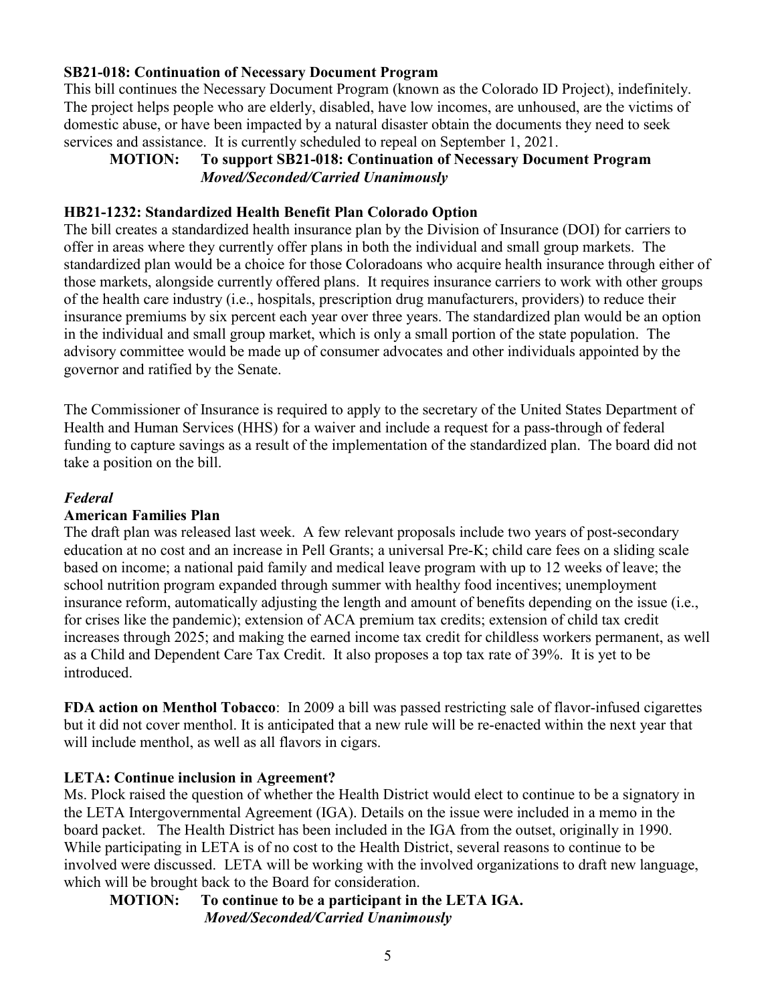## **SB21-018: Continuation of Necessary Document Program**

This bill continues the Necessary Document Program (known as the Colorado ID Project), indefinitely. The project helps people who are elderly, disabled, have low incomes, are unhoused, are the victims of domestic abuse, or have been impacted by a natural disaster obtain the documents they need to seek services and assistance. It is currently scheduled to repeal on September 1, 2021.

# **MOTION: To support SB21-018: Continuation of Necessary Document Program** *Moved/Seconded/Carried Unanimously*

## **HB21-1232: Standardized Health Benefit Plan Colorado Option**

The bill creates a standardized health insurance plan by the Division of Insurance (DOI) for carriers to offer in areas where they currently offer plans in both the individual and small group markets. The standardized plan would be a choice for those Coloradoans who acquire health insurance through either of those markets, alongside currently offered plans. It requires insurance carriers to work with other groups of the health care industry (i.e., hospitals, prescription drug manufacturers, providers) to reduce their insurance premiums by six percent each year over three years. The standardized plan would be an option in the individual and small group market, which is only a small portion of the state population. The advisory committee would be made up of consumer advocates and other individuals appointed by the governor and ratified by the Senate.

The Commissioner of Insurance is required to apply to the secretary of the United States Department of Health and Human Services (HHS) for a waiver and include a request for a pass-through of federal funding to capture savings as a result of the implementation of the standardized plan. The board did not take a position on the bill.

## *Federal*

### **American Families Plan**

The draft plan was released last week. A few relevant proposals include two years of post-secondary education at no cost and an increase in Pell Grants; a universal Pre-K; child care fees on a sliding scale based on income; a national paid family and medical leave program with up to 12 weeks of leave; the school nutrition program expanded through summer with healthy food incentives; unemployment insurance reform, automatically adjusting the length and amount of benefits depending on the issue (i.e., for crises like the pandemic); extension of ACA premium tax credits; extension of child tax credit increases through 2025; and making the earned income tax credit for childless workers permanent, as well as a Child and Dependent Care Tax Credit. It also proposes a top tax rate of 39%. It is yet to be introduced.

**FDA action on Menthol Tobacco**: In 2009 a bill was passed restricting sale of flavor-infused cigarettes but it did not cover menthol. It is anticipated that a new rule will be re-enacted within the next year that will include menthol, as well as all flavors in cigars.

# **LETA: Continue inclusion in Agreement?**

Ms. Plock raised the question of whether the Health District would elect to continue to be a signatory in the LETA Intergovernmental Agreement (IGA). Details on the issue were included in a memo in the board packet. The Health District has been included in the IGA from the outset, originally in 1990. While participating in LETA is of no cost to the Health District, several reasons to continue to be involved were discussed. LETA will be working with the involved organizations to draft new language, which will be brought back to the Board for consideration.

## **MOTION: To continue to be a participant in the LETA IGA.**  *Moved/Seconded/Carried Unanimously*